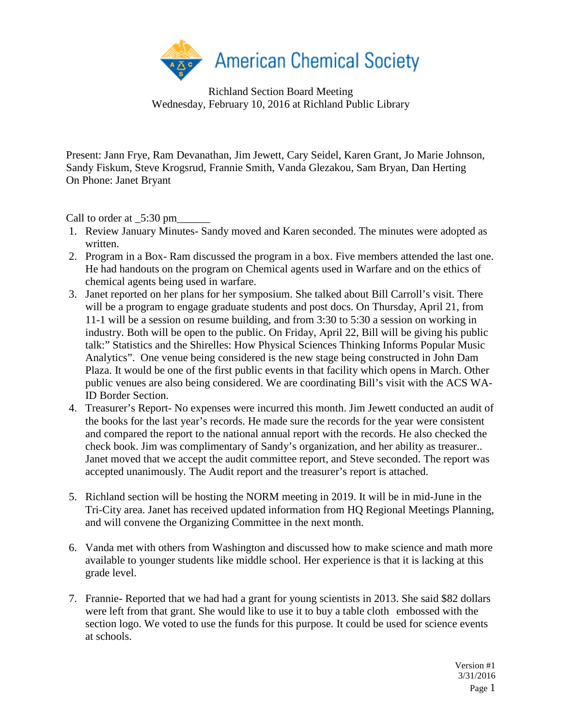

Richland Section Board Meeting Wednesday, February 10, 2016 at Richland Public Library

Present: Jann Frye, Ram Devanathan, Jim Jewett, Cary Seidel, Karen Grant, Jo Marie Johnson, Sandy Fiskum, Steve Krogsrud, Frannie Smith, Vanda Glezakou, Sam Bryan, Dan Herting On Phone: Janet Bryant

Call to order at  $\_5:30 \text{ pm}$ 

- 1. Review January Minutes- Sandy moved and Karen seconded. The minutes were adopted as written.
- 2. Program in a Box- Ram discussed the program in a box. Five members attended the last one. He had handouts on the program on Chemical agents used in Warfare and on the ethics of chemical agents being used in warfare.
- 3. Janet reported on her plans for her symposium. She talked about Bill Carroll's visit. There will be a program to engage graduate students and post docs. On Thursday, April 21, from 11-1 will be a session on resume building, and from 3:30 to 5:30 a session on working in industry. Both will be open to the public. On Friday, April 22, Bill will be giving his public talk:" Statistics and the Shirelles: How Physical Sciences Thinking Informs Popular Music Analytics". One venue being considered is the new stage being constructed in John Dam Plaza. It would be one of the first public events in that facility which opens in March. Other public venues are also being considered. We are coordinating Bill's visit with the ACS WA-ID Border Section.
- 4. Treasurer's Report- No expenses were incurred this month. Jim Jewett conducted an audit of the books for the last year's records. He made sure the records for the year were consistent and compared the report to the national annual report with the records. He also checked the check book. Jim was complimentary of Sandy's organization, and her ability as treasurer.. Janet moved that we accept the audit committee report, and Steve seconded. The report was accepted unanimously. The Audit report and the treasurer's report is attached.
- 5. Richland section will be hosting the NORM meeting in 2019. It will be in mid-June in the Tri-City area. Janet has received updated information from HQ Regional Meetings Planning, and will convene the Organizing Committee in the next month.
- 6. Vanda met with others from Washington and discussed how to make science and math more available to younger students like middle school. Her experience is that it is lacking at this grade level.
- 7. Frannie- Reported that we had had a grant for young scientists in 2013. She said \$82 dollars were left from that grant. She would like to use it to buy a table cloth embossed with the section logo. We voted to use the funds for this purpose. It could be used for science events at schools.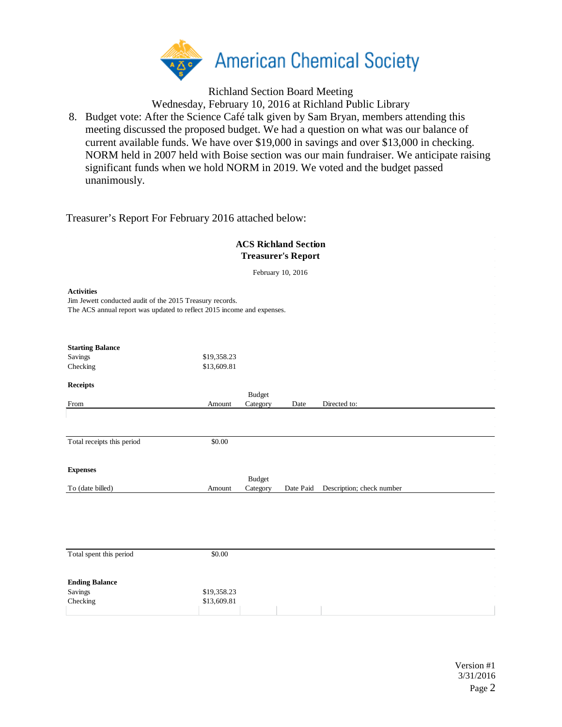

Richland Section Board Meeting

Wednesday, February 10, 2016 at Richland Public Library

8. Budget vote: After the Science Café talk given by Sam Bryan, members attending this meeting discussed the proposed budget. We had a question on what was our balance of current available funds. We have over \$19,000 in savings and over \$13,000 in checking. NORM held in 2007 held with Boise section was our main fundraiser. We anticipate raising significant funds when we hold NORM in 2019. We voted and the budget passed unanimously.

Treasurer's Report For February 2016 attached below:

| <b>ACS Richland Section</b><br><b>Treasurer's Report</b>                                                                                                |                            |                           |                   |                           |  |  |  |
|---------------------------------------------------------------------------------------------------------------------------------------------------------|----------------------------|---------------------------|-------------------|---------------------------|--|--|--|
|                                                                                                                                                         |                            |                           | February 10, 2016 |                           |  |  |  |
| <b>Activities</b><br>Jim Jewett conducted audit of the 2015 Treasury records.<br>The ACS annual report was updated to reflect 2015 income and expenses. |                            |                           |                   |                           |  |  |  |
| <b>Starting Balance</b>                                                                                                                                 |                            |                           |                   |                           |  |  |  |
| Savings                                                                                                                                                 | \$19,358.23                |                           |                   |                           |  |  |  |
| Checking                                                                                                                                                | \$13,609.81                |                           |                   |                           |  |  |  |
| <b>Receipts</b>                                                                                                                                         |                            |                           |                   |                           |  |  |  |
| From                                                                                                                                                    | Amount                     | <b>Budget</b><br>Category | Date              | Directed to:              |  |  |  |
|                                                                                                                                                         |                            |                           |                   |                           |  |  |  |
| Total receipts this period                                                                                                                              | \$0.00                     |                           |                   |                           |  |  |  |
| <b>Expenses</b>                                                                                                                                         |                            |                           |                   |                           |  |  |  |
|                                                                                                                                                         |                            | <b>Budget</b>             |                   |                           |  |  |  |
| To (date billed)                                                                                                                                        | Amount                     | Category                  | Date Paid         | Description; check number |  |  |  |
|                                                                                                                                                         |                            |                           |                   |                           |  |  |  |
|                                                                                                                                                         |                            |                           |                   |                           |  |  |  |
|                                                                                                                                                         |                            |                           |                   |                           |  |  |  |
|                                                                                                                                                         |                            |                           |                   |                           |  |  |  |
| Total spent this period                                                                                                                                 | \$0.00                     |                           |                   |                           |  |  |  |
| <b>Ending Balance</b><br>Savings<br>Checking                                                                                                            | \$19,358.23<br>\$13,609.81 |                           |                   |                           |  |  |  |
|                                                                                                                                                         |                            |                           |                   |                           |  |  |  |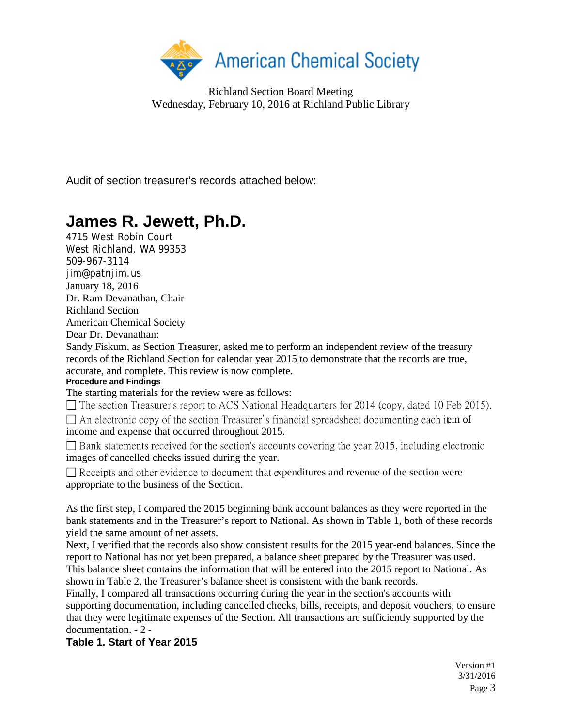

Richland Section Board Meeting Wednesday, February 10, 2016 at Richland Public Library

Audit of section treasurer's records attached below:

## **James R. Jewett, Ph.D.**

4715 West Robin Court West Richland, WA 99353 509-967-3114 jim@patnjim.us January 18, 2016 Dr. Ram Devanathan, Chair Richland Section American Chemical Society

Dear Dr. Devanathan:

Sandy Fiskum, as Section Treasurer, asked me to perform an independent review of the treasury records of the Richland Section for calendar year 2015 to demonstrate that the records are true, accurate, and complete. This review is now complete.

## **Procedure and Findings**

The starting materials for the review were as follows:

□ The section Treasurer's report to ACS National Headquarters for 2014 (copy, dated 10 Feb 2015).

 $\Box$  An electronic copy of the section Treasurer's financial spreadsheet documenting each item of income and expense that occurred throughout 2015.

 $\Box$  Bank statements received for the section's accounts covering the year 2015, including electronic images of cancelled checks issued during the year.

 $\Box$  Receipts and other evidence to document that expenditures and revenue of the section were appropriate to the business of the Section.

As the first step, I compared the 2015 beginning bank account balances as they were reported in the bank statements and in the Treasurer's report to National. As shown in Table 1, both of these records yield the same amount of net assets.

Next, I verified that the records also show consistent results for the 2015 year-end balances. Since the report to National has not yet been prepared, a balance sheet prepared by the Treasurer was used. This balance sheet contains the information that will be entered into the 2015 report to National. As shown in Table 2, the Treasurer's balance sheet is consistent with the bank records.

Finally, I compared all transactions occurring during the year in the section's accounts with supporting documentation, including cancelled checks, bills, receipts, and deposit vouchers, to ensure that they were legitimate expenses of the Section. All transactions are sufficiently supported by the documentation. - 2 -

**Table 1. Start of Year 2015** 

Version #1 3/31/2016 Page 3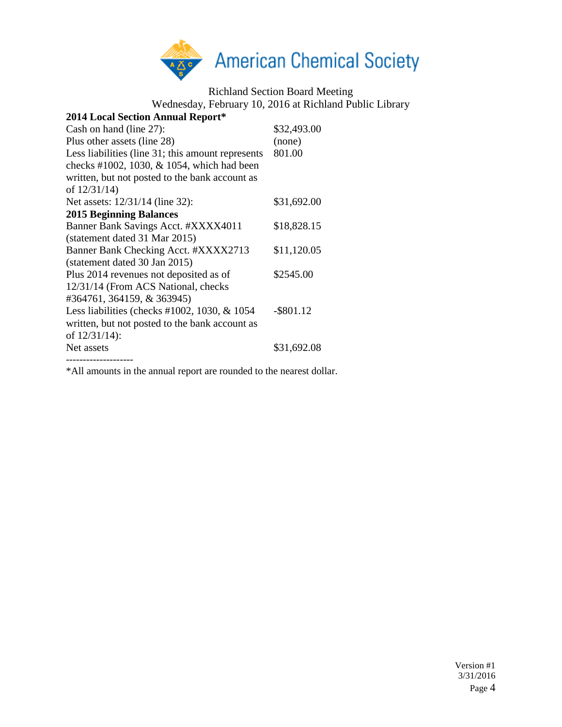

Richland Section Board Meeting

Wednesday, February 10, 2016 at Richland Public Library

| 2014 Local Section Annual Report*                 |              |
|---------------------------------------------------|--------------|
| Cash on hand (line 27):                           | \$32,493.00  |
| Plus other assets (line 28)                       | (none)       |
| Less liabilities (line 31; this amount represents | 801.00       |
| checks #1002, 1030, & 1054, which had been        |              |
| written, but not posted to the bank account as    |              |
| of $12/31/14$ )                                   |              |
| Net assets: 12/31/14 (line 32):                   | \$31,692.00  |
| <b>2015 Beginning Balances</b>                    |              |
| Banner Bank Savings Acct. #XXXX4011               | \$18,828.15  |
| (statement dated 31 Mar 2015)                     |              |
| Banner Bank Checking Acct. #XXXX2713              | \$11,120.05  |
| (statement dated 30 Jan 2015)                     |              |
| Plus 2014 revenues not deposited as of            | \$2545.00    |
| 12/31/14 (From ACS National, checks               |              |
| #364761, 364159, & 363945)                        |              |
| Less liabilities (checks #1002, 1030, $&$ 1054    | $-$ \$801.12 |
| written, but not posted to the bank account as    |              |
| of $12/31/14$ :                                   |              |
| Net assets                                        | \$31,692.08  |
| .                                                 |              |

\*All amounts in the annual report are rounded to the nearest dollar.